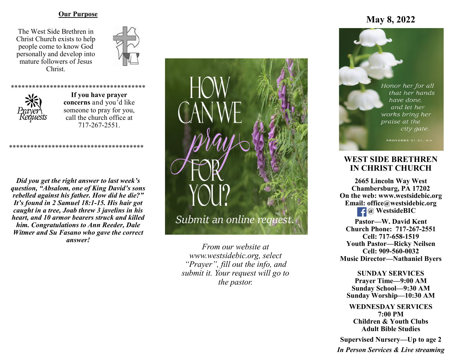## **Our Purpose**

The West Side Brethren in Christ Church exists to help people come to know God personally and develop into mature followers of Jesus Christ.





**If you have prayer concerns** and you'd like someone to pray for you, call the church office at 717-267-2551.

\*\*\*\*\*\*\*\*\*\*\*\*\*\*\*\*\*\*\*\*\*\*

*Did you get the right answer to last week's question, "Absalom, one of King David's sons rebelled against his father. How did he die?" It's found in 2 Samuel 18:1-15. His hair got caught in a tree, Joab threw 3 javelins in his heart, and 10 armor bearers struck and killed him. Congratulations to Ann Reeder, Dale Witmer and Su Fasano who gave the correct answer!*

\*\*\*\*\*\*\*\*\*\*\*\*\*\*\*\*\*\*\*\*\*\*\*\*\*\*\*\*\*\*\*\*\*\*\*\*\*\*



*From our website at www.westsidebic.org, select "Prayer", fill out the info, and submit it. Your request will go to the pastor.*

# **May 8, 2022**

Honor her for all that her hands have done. and let her works bring her praise at the city gate.

# **WEST SIDE BRETHREN IN CHRIST CHURCH**

**2665 Lincoln Way West Chambersburg, PA 17202 On the web: [www.westsidebic.org](http://www.westsidebic.org) Email: office@westsidebic.org** *C* WestsideBIC

**Pastor—W. David Kent Church Phone: 717-267-2551 Cell: 717-658-1519 Youth Pastor—Ricky Neilsen Cell: 909-560-0032 Music Director—Nathaniel Byers**

**SUNDAY SERVICES Prayer Time—9:00 AM Sunday School—9:30 AM Sunday Worship—10:30 AM**

**WEDNESDAY SERVICES 7:00 PM Children & Youth Clubs Adult Bible Studies**

**Supervised Nursery—Up to age 2**

*In Person Services & Live streaming*